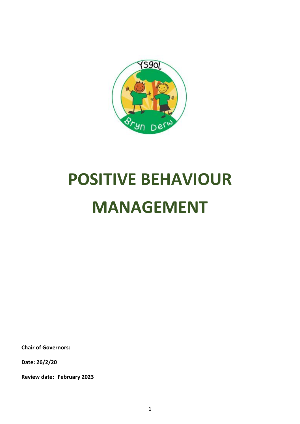

# **POSITIVE BEHAVIOUR MANAGEMENT**

**Chair of Governors:**

**Date: 26/2/20**

**Review date: February 2023**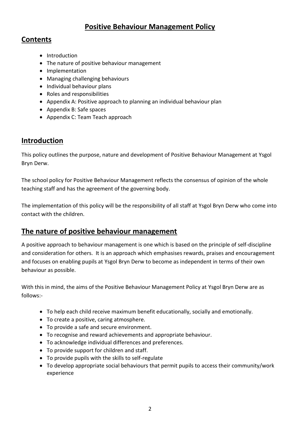# **Positive Behaviour Management Policy**

### **Contents**

- Introduction
- The nature of positive behaviour management
- Implementation
- Managing challenging behaviours
- Individual behaviour plans
- Roles and responsibilities
- Appendix A: Positive approach to planning an individual behaviour plan
- Appendix B: Safe spaces
- Appendix C: Team Teach approach

### **Introduction**

This policy outlines the purpose, nature and development of Positive Behaviour Management at Ysgol Bryn Derw.

The school policy for Positive Behaviour Management reflects the consensus of opinion of the whole teaching staff and has the agreement of the governing body.

The implementation of this policy will be the responsibility of all staff at Ysgol Bryn Derw who come into contact with the children.

# **The nature of positive behaviour management**

A positive approach to behaviour management is one which is based on the principle of self-discipline and consideration for others. It is an approach which emphasises rewards, praises and encouragement and focuses on enabling pupils at Ysgol Bryn Derw to become as independent in terms of their own behaviour as possible.

With this in mind, the aims of the Positive Behaviour Management Policy at Ysgol Bryn Derw are as follows:-

- To help each child receive maximum benefit educationally, socially and emotionally.
- To create a positive, caring atmosphere.
- To provide a safe and secure environment.
- To recognise and reward achievements and appropriate behaviour.
- To acknowledge individual differences and preferences.
- To provide support for children and staff.
- To provide pupils with the skills to self-regulate
- To develop appropriate social behaviours that permit pupils to access their community/work experience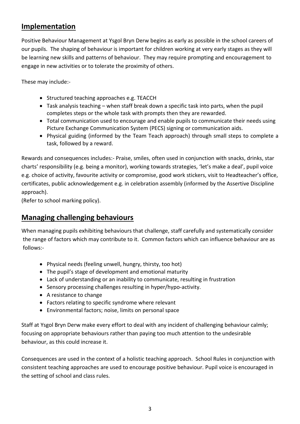# **Implementation**

Positive Behaviour Management at Ysgol Bryn Derw begins as early as possible in the school careers of our pupils. The shaping of behaviour is important for children working at very early stages as they will be learning new skills and patterns of behaviour. They may require prompting and encouragement to engage in new activities or to tolerate the proximity of others.

These may include:-

- Structured teaching approaches e.g. TEACCH
- Task analysis teaching when staff break down a specific task into parts, when the pupil completes steps or the whole task with prompts then they are rewarded.
- Total communication used to encourage and enable pupils to communicate their needs using Picture Exchange Communication System (PECS) signing or communication aids.
- Physical guiding (informed by the Team Teach approach) through small steps to complete a task, followed by a reward.

Rewards and consequences includes:- Praise, smiles, often used in conjunction with snacks, drinks, star charts' responsibility (e.g. being a monitor), working towards strategies, 'let's make a deal', pupil voice e.g. choice of activity, favourite activity or compromise, good work stickers, visit to Headteacher's office, certificates, public acknowledgement e.g. in celebration assembly (informed by the Assertive Discipline approach).

(Refer to school marking policy).

# **Managing challenging behaviours**

When managing pupils exhibiting behaviours that challenge, staff carefully and systematically consider the range of factors which may contribute to it. Common factors which can influence behaviour are as follows:-

- Physical needs (feeling unwell, hungry, thirsty, too hot)
- The pupil's stage of development and emotional maturity
- Lack of understanding or an inability to communicate, resulting in frustration
- Sensory processing challenges resulting in hyper/hypo-activity.
- A resistance to change
- Factors relating to specific syndrome where relevant
- Environmental factors; noise, limits on personal space

Staff at Ysgol Bryn Derw make every effort to deal with any incident of challenging behaviour calmly; focusing on appropriate behaviours rather than paying too much attention to the undesirable behaviour, as this could increase it.

Consequences are used in the context of a holistic teaching approach. School Rules in conjunction with consistent teaching approaches are used to encourage positive behaviour. Pupil voice is encouraged in the setting of school and class rules.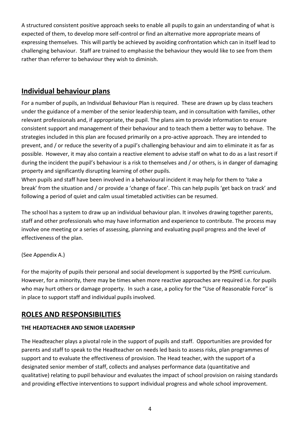A structured consistent positive approach seeks to enable all pupils to gain an understanding of what is expected of them, to develop more self-control or find an alternative more appropriate means of expressing themselves. This will partly be achieved by avoiding confrontation which can in itself lead to challenging behaviour. Staff are trained to emphasise the behaviour they would like to see from them rather than referrer to behaviour they wish to diminish.

# **Individual behaviour plans**

For a number of pupils, an Individual Behaviour Plan is required. These are drawn up by class teachers under the guidance of a member of the senior leadership team, and in consultation with families, other relevant professionals and, if appropriate, the pupil. The plans aim to provide information to ensure consistent support and management of their behaviour and to teach them a better way to behave. The strategies included in this plan are focused primarily on a pro-active approach. They are intended to prevent, and / or reduce the severity of a pupil's challenging behaviour and aim to eliminate it as far as possible. However, it may also contain a reactive element to advise staff on what to do as a last resort if during the incident the pupil's behaviour is a risk to themselves and / or others, is in danger of damaging property and significantly disrupting learning of other pupils.

When pupils and staff have been involved in a behavioural incident it may help for them to 'take a break' from the situation and / or provide a 'change of face'. This can help pupils 'get back on track' and following a period of quiet and calm usual timetabled activities can be resumed.

The school has a system to draw up an individual behaviour plan. It involves drawing together parents, staff and other professionals who may have information and experience to contribute. The process may involve one meeting or a series of assessing, planning and evaluating pupil progress and the level of effectiveness of the plan.

### (See Appendix A.)

For the majority of pupils their personal and social development is supported by the PSHE curriculum. However, for a minority, there may be times when more reactive approaches are required i.e. for pupils who may hurt others or damage property. In such a case, a policy for the "Use of Reasonable Force" is in place to support staff and individual pupils involved.

# **ROLES AND RESPONSIBILITIES**

### **THE HEADTEACHER AND SENIOR LEADERSHIP**

The Headteacher plays a pivotal role in the support of pupils and staff. Opportunities are provided for parents and staff to speak to the Headteacher on needs led basis to assess risks, plan programmes of support and to evaluate the effectiveness of provision. The Head teacher, with the support of a designated senior member of staff, collects and analyses performance data (quantitative and qualitative) relating to pupil behaviour and evaluates the impact of school provision on raising standards and providing effective interventions to support individual progress and whole school improvement.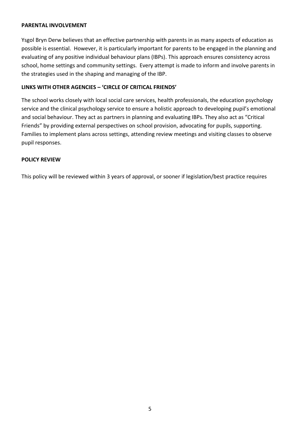### **PARENTAL INVOLVEMENT**

Ysgol Bryn Derw believes that an effective partnership with parents in as many aspects of education as possible is essential. However, it is particularly important for parents to be engaged in the planning and evaluating of any positive individual behaviour plans (IBPs). This approach ensures consistency across school, home settings and community settings. Every attempt is made to inform and involve parents in the strategies used in the shaping and managing of the IBP.

### **LINKS WITH OTHER AGENCIES – 'CIRCLE OF CRITICAL FRIENDS'**

The school works closely with local social care services, health professionals, the education psychology service and the clinical psychology service to ensure a holistic approach to developing pupil's emotional and social behaviour. They act as partners in planning and evaluating IBPs. They also act as "Critical Friends" by providing external perspectives on school provision, advocating for pupils, supporting. Families to implement plans across settings, attending review meetings and visiting classes to observe pupil responses.

### **POLICY REVIEW**

This policy will be reviewed within 3 years of approval, or sooner if legislation/best practice requires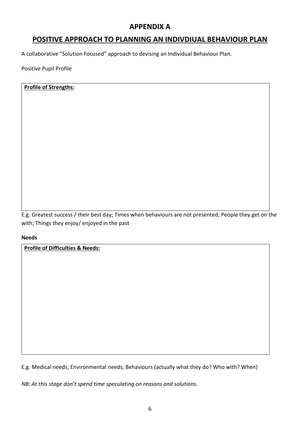# **APPENDIX A**

# **POSITIVE APPROACH TO PLANNING AN INDIVDIUAL BEHAVIOUR PLAN**

A collaborative "Solution Focused" approach to devising an Individual Behaviour Plan.

Positive Pupil Profile

### **Profile of Strengths:**

E.g. Greatest success / their best day; Times when behaviours are not presented; People they get on the with; Things they enjoy/ enjoyed in the past

### **Needs**

**Profile of Difficulties & Needs:**

E.g. Medical needs; Environmental needs; Behaviours (actually what they do? Who with? When)

*NB: At this stage don't spend time speculating on reasons and solutions.*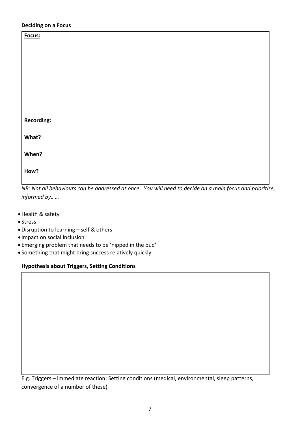### **Deciding on a Focus**

| Focus:                                                                                                  |  |  |
|---------------------------------------------------------------------------------------------------------|--|--|
|                                                                                                         |  |  |
|                                                                                                         |  |  |
|                                                                                                         |  |  |
|                                                                                                         |  |  |
|                                                                                                         |  |  |
|                                                                                                         |  |  |
|                                                                                                         |  |  |
| <b>Recording:</b>                                                                                       |  |  |
| What?                                                                                                   |  |  |
| When?                                                                                                   |  |  |
|                                                                                                         |  |  |
| How?                                                                                                    |  |  |
| NR; Not all behaviours san be addressed at once. You will need to deside on a main focus and prioritise |  |  |

*NB: Not all behaviours can be addressed at once. You will need to decide on a main focus and prioritise, informed by……*

- Health & safety
- Stress
- Disruption to learning self & others
- Impact on social inclusion
- Emerging problem that needs to be 'nipped in the bud'
- Something that might bring success relatively quickly

### **Hypothesis about Triggers, Setting Conditions**

E.g. Triggers – immediate reaction; Setting conditions (medical, environmental, sleep patterns, convergence of a number of these)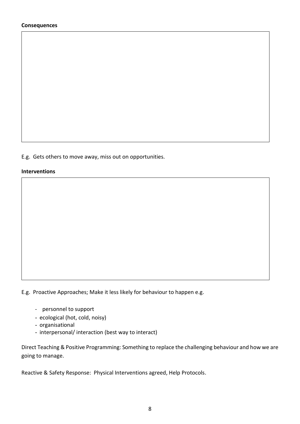#### **Consequences**

E.g. Gets others to move away, miss out on opportunities.

#### **Interventions**

E.g. Proactive Approaches; Make it less likely for behaviour to happen e.g.

- personnel to support
- ecological (hot, cold, noisy)
- organisational
- interpersonal/ interaction (best way to interact)

Direct Teaching & Positive Programming: Something to replace the challenging behaviour and how we are going to manage.

Reactive & Safety Response: Physical Interventions agreed, Help Protocols.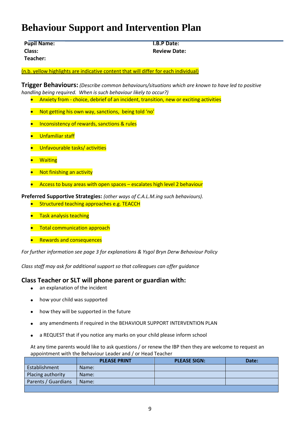# **Behaviour Support and Intervention Plan**

| <b>Pupil Name:</b> | <b>I.B.P Date:</b>  |
|--------------------|---------------------|
| Class:             | <b>Review Date:</b> |
| Teacher:           |                     |

(n.b. yellow highlights are indicative content that will differ for each individual)

**Trigger Behaviours:** *(Describe common behaviours/situations which are known to have led to positive handling being required. When is such behaviour likely to occur?)*

- Anxiety from choice, debrief of an incident, transition, new or exciting activities
- Not getting his own way, sanctions, being told 'no'
- **•** Inconsistency of rewards, sanctions & rules
- **•** Unfamiliar staff
- **•** Unfavourable tasks/activities
- **•** Waiting
- **Not finishing an activity**
- Access to busy areas with open spaces escalates high level 2 behaviour

**Preferred Supportive Strategies:** *(other ways of C.A.L.M.ing such behaviours).*

- **Structured teaching approaches e.g. TEACCH**
- **•** Task analysis teaching
- **•** Total communication approach
- **•** Rewards and consequences

*For further information see page 3 for explanations & Ysgol Bryn Derw Behaviour Policy*

*Class staff may ask for additional support so that colleagues can offer guidance*

### **Class Teacher or SLT will phone parent or guardian with:**

- an explanation of the incident
- how your child was supported
- how they will be supported in the future
- any amendments if required in the BEHAVIOUR SUPPORT INTERVENTION PLAN
- a REQUEST that if you notice any marks on your child please inform school

At any time parents would like to ask questions / or renew the IBP then they are welcome to request an appointment with the Behaviour Leader and / or Head Teacher

|                     | <b>PLEASE PRINT</b> | <b>PLEASE SIGN:</b> | Date: |
|---------------------|---------------------|---------------------|-------|
| Establishment       | Name:               |                     |       |
| Placing authority   | Name:               |                     |       |
| Parents / Guardians | Name:               |                     |       |
|                     |                     |                     |       |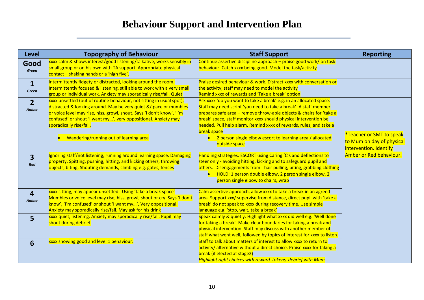# **Behaviour Support and Intervention Plan**

| <b>Level</b>                   | <b>Topography of Behaviour</b>                                                                                                                                                                                                                                                                                                                                | <b>Staff Support</b>                                                                                                                                                                                                                                                                                                                                                                                                                                 | <b>Reporting</b>                                                                |
|--------------------------------|---------------------------------------------------------------------------------------------------------------------------------------------------------------------------------------------------------------------------------------------------------------------------------------------------------------------------------------------------------------|------------------------------------------------------------------------------------------------------------------------------------------------------------------------------------------------------------------------------------------------------------------------------------------------------------------------------------------------------------------------------------------------------------------------------------------------------|---------------------------------------------------------------------------------|
| Good<br>Green                  | xxxx calm & shows interest/good listening/talkative, works sensibly in<br>small group or on his own with TA support. Appropriate physical<br>contact - shaking hands or a 'high five'.                                                                                                                                                                        | Continue assertive discipline approach - praise good work/ on task<br>behaviour. Catch xxxx being good. Model the task/activity                                                                                                                                                                                                                                                                                                                      |                                                                                 |
| $\mathbf{1}$<br>Green          | Intermittently fidgety or distracted, looking around the room.<br>Intermittently focused & listening, still able to work with a very small<br>group or individual work. Anxiety may sporadically rise/fall. Quiet                                                                                                                                             | Praise desired behaviour & work. Distract xxxx with conversation or<br>the activity; staff may need to model the activity<br>Remind xxxx of rewards and 'Take a break' option                                                                                                                                                                                                                                                                        |                                                                                 |
| $\overline{2}$<br><b>Amber</b> | xxxx unsettled (out of routine behaviour, not sitting in usual spot),<br>distracted & looking around. May be very quiet &/ pace or mumbles<br>or voice level may rise, hiss, growl, shout. Says 'I don't know', 'I'm<br>confused' or shout 'I want my', very oppositional. Anxiety may<br>sporadically rise/fall.<br>• Wandering/running out of learning area | Ask xxxx 'do you want to take a break' e.g. in an allocated space.<br>Staff may need script 'you need to take a break'. A staff member<br>prepares safe area - remove throw-able objects & chairs for 'take a<br>break' space, staff monitor xxxx should physical intervention be<br>needed. Pull help alarm. Remind xxxx of rewards, rules, and take a<br>break space<br>2 person single elbow escort to learning area / allocated<br>outside space | *Teacher or SMT to speak<br>to Mum on day of physical<br>intervention. Identify |
| $\overline{3}$<br>Red          | Ignoring staff/not listening, running around learning space. Damaging<br>property. Spitting, pushing, hitting, and kicking others, throwing<br>objects, biting. Shouting demands, climbing e.g. gates, fences                                                                                                                                                 | Handling strategies: ESCORT using Caring 'C's and deflections to<br>steer only - avoiding hitting, kicking and to safeguard pupil and<br>others. Disengagements from - hair pulling, biting, grabbing clothing<br>• HOLD: 1 person double elbow, 2 person single elbow, 2<br>person single elbow to chairs, wrap                                                                                                                                     | Amber or Red behaviour.                                                         |
| $\overline{4}$<br>Amber        | xxxx sitting, may appear unsettled. Using 'take a break space'<br>Mumbles or voice level may rise, hiss, growl, shout or cry. Says 'I don't<br>know', 'I'm confused' or shout 'I want my', Very oppositional.<br>Anxiety may sporadically rise/fall. May ask for his drink                                                                                    | Calm assertive approach, allow xxxx to take a break in an agreed<br>area. Support xxx/ supervise from distance, direct pupil with 'take a<br>break' do not speak to xxxx during recovery time. Use simple<br>language e.g. 'stop, wait, take a break'                                                                                                                                                                                                |                                                                                 |
| $5\phantom{1}$                 | xxxx quiet, listening. Anxiety may sporadically rise/fall. Pupil may<br>shout during debrief                                                                                                                                                                                                                                                                  | Speak calmly & quietly. Highlight what xxxx did well e.g. 'Well done<br>for taking a break'. Make clear boundaries for taking a break and<br>physical intervention. Staff may discuss with another member of<br>staff what went well, followed by topics of interest for xxxx to listen.                                                                                                                                                             |                                                                                 |
| 6                              | xxxx showing good and level 1 behaviour.                                                                                                                                                                                                                                                                                                                      | Staff to talk about matters of interest to allow xxxx to return to<br>activity/ alternative without a direct choice. Praise xxxx for taking a<br>break (if elected at stage2)<br>Highlight right choices with reward tokens, debrief with Mum                                                                                                                                                                                                        |                                                                                 |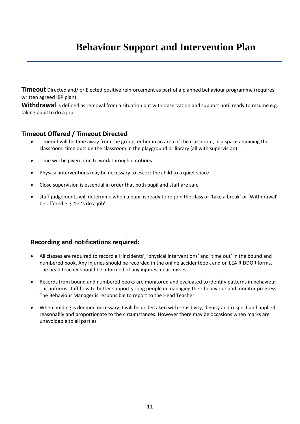# **Behaviour Support and Intervention Plan**

**Timeout** Directed and/ or Elected positive reinforcement as part of a planned behaviour programme (requires written agreed IBP plan)

**Withdrawal** is defined as removal from a situation but with observation and support until ready to resume e.g. taking pupil to do a job

### **Timeout Offered / Timeout Directed**

- Timeout will be time away from the group, either in an area of the classroom, in a space adjoining the classroom, time outside the classroom in the playground or library (all with supervision)
- Time will be given time to work through emotions
- Physical interventions may be necessary to escort the child to a quiet space
- Close supervision is essential in order that both pupil and staff are safe
- staff judgements will determine when a pupil is ready to re-join the class or 'take a break' or 'Withdrawal' be offered e.g. 'let's do a job'

### **Recording and notifications required:**

- All classes are required to record all 'incidents', 'physical interventions' and 'time out' in the bound and numbered book. Any injuries should be recorded in the online accidentbook and on LEA RIDDOR forms. The head teacher should be informed of any injuries, near misses.
- Records from bound and numbered books are monitored and evaluated to identify patterns in behaviour. This informs staff how to better support young people in managing their behaviour and monitor progress. The Behaviour Manager is responsible to report to the Head Teacher
- When holding is deemed necessary it will be undertaken with sensitivity, dignity and respect and applied reasonably and proportionate to the circumstances. However there may be occasions when marks are unavoidable to all parties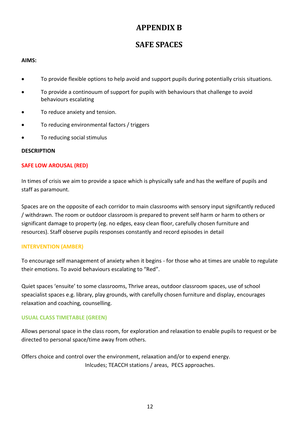# **APPENDIX B**

# **SAFE SPACES**

### **AIMS:**

- To provide flexible options to help avoid and support pupils during potentially crisis situations.
- To provide a continouum of support for pupils with behaviours that challenge to avoid behaviours escalating
- To reduce anxiety and tension.
- To reducing environmental factors / triggers
- To reducing social stimulus

### **DESCRIPTION**

### **SAFE LOW AROUSAL (RED)**

In times of crisis we aim to provide a space which is physically safe and has the welfare of pupils and staff as paramount.

Spaces are on the opposite of each corridor to main classrooms with sensory input signifcantly reduced / withdrawn. The room or outdoor classroom is prepared to prevent self harm or harm to others or significant damage to property (eg. no edges, easy clean floor, carefully chosen furniture and resources). Staff observe pupils responses constantly and record episodes in detail

### **INTERVENTION (AMBER)**

To encourage self management of anxiety when it begins - for those who at times are unable to regulate their emotions. To avoid behaviours escalating to "Red".

Quiet spaces 'ensuite' to some classrooms, Thrive areas, outdoor classroom spaces, use of school speacialist spaces e.g. library, play grounds, with carefully chosen furniture and display, encourages relaxation and coaching, counselling.

### **USUAL CLASS TIMETABLE (GREEN)**

Allows personal space in the class room, for exploration and relaxation to enable pupils to request or be directed to personal space/time away from others.

Offers choice and control over the environment, relaxation and/or to expend energy. Inlcudes; TEACCH stations / areas, PECS approaches.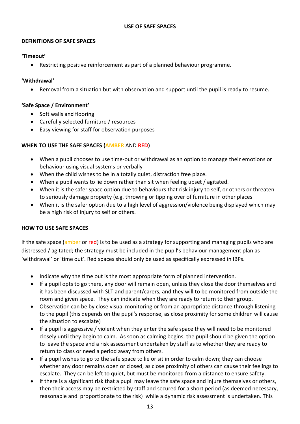### **USE OF SAFE SPACES**

### **DEFINITIONS OF SAFE SPACES**

### **'Timeout'**

Restricting positive reinforcement as part of a planned behaviour programme.

### **'Withdrawal'**

Removal from a situation but with observation and support until the pupil is ready to resume.

### **'Safe Space / Environment'**

- Soft walls and flooring
- Carefully selected furniture / resources
- Easy viewing for staff for observation purposes

### **WHEN TO USE THE SAFE SPACES (AMBER** AND **RED)**

- When a pupil chooses to use time-out or withdrawal as an option to manage their emotions or behaviour using visual systems or verbally
- When the child wishes to be in a totally quiet, distraction free place.
- When a pupil wants to lie down rather than sit when feeling upset / agitated.
- When it is the safer space option due to behaviours that risk injury to self, or others or threaten to seriously damage property (e.g. throwing or tipping over of furniture in other places
- When it is the safer option due to a high level of aggression/violence being displayed which may be a high risk of injury to self or others.

### **HOW TO USE SAFE SPACES**

If the safe space (amber or red) is to be used as a strategy for supporting and managing pupils who are distressed / agitated; the strategy must be included in the pupil's behaviour management plan as 'withdrawal' or 'time out'. Red spaces should only be used as specifically expressed in IBPs.

- Indicate why the time out is the most appropriate form of planned intervention.
- If a pupil opts to go there, any door will remain open, unless they close the door themselves and it has been discussed with SLT and parent/carers, and they will to be monitored from outside the room and given space. They can indicate when they are ready to return to their group.
- Observation can be by close visual monitoring or from an appropriate distance through listening to the pupil (this depends on the pupil's response, as close proximity for some children will cause the situation to escalate)
- If a pupil is aggressive / violent when they enter the safe space they will need to be monitored closely until they begin to calm. As soon as calming begins, the pupil should be given the option to leave the space and a risk assessment undertaken by staff as to whether they are ready to return to class or need a period away from others.
- If a pupil wishes to go to the safe space to lie or sit in order to calm down; they can choose whether any door remains open or closed, as close proximity of others can cause their feelings to escalate. They can be left to quiet, but must be monitored from a distance to ensure safety.
- If there is a significant risk that a pupil may leave the safe space and injure themselves or others, then their access may be restricted by staff and secured for a short period (as deemed necessary, reasonable and proportionate to the risk) while a dynamic risk assessment is undertaken. This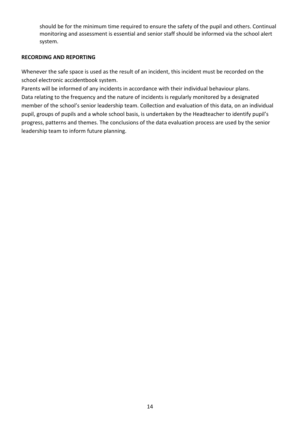should be for the minimum time required to ensure the safety of the pupil and others. Continual monitoring and assessment is essential and senior staff should be informed via the school alert system.

### **RECORDING AND REPORTING**

Whenever the safe space is used as the result of an incident, this incident must be recorded on the school electronic accidentbook system.

Parents will be informed of any incidents in accordance with their individual behaviour plans. Data relating to the frequency and the nature of incidents is regularly monitored by a designated member of the school's senior leadership team. Collection and evaluation of this data, on an individual pupil, groups of pupils and a whole school basis, is undertaken by the Headteacher to identify pupil's progress, patterns and themes. The conclusions of the data evaluation process are used by the senior leadership team to inform future planning.